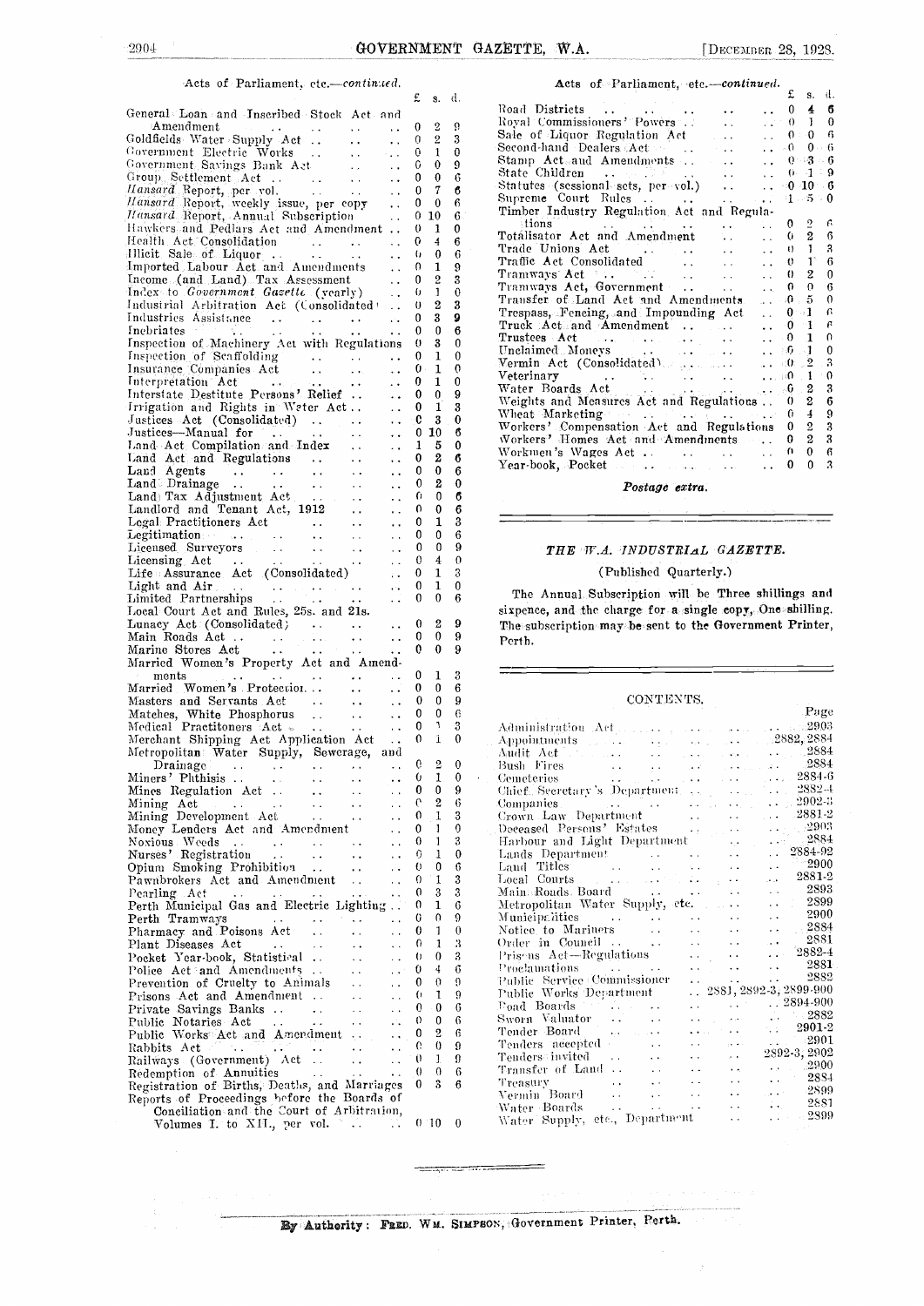#### Acts of Parliament, etc .- continued.

|                                                                                                                                                                                                                                                                                             | £      | s.             | d.     |
|---------------------------------------------------------------------------------------------------------------------------------------------------------------------------------------------------------------------------------------------------------------------------------------------|--------|----------------|--------|
| General Loan and Inscribed Stock Act and                                                                                                                                                                                                                                                    |        |                |        |
| Amendment<br>$\epsilon \ll \epsilon$<br>$\sim$ $\sim$                                                                                                                                                                                                                                       | 0      | 2              | ö      |
| Goldfields Water Supply Act<br>$\sim 100$<br>$\ddot{\phantom{0}}$                                                                                                                                                                                                                           | 0      | $\overline{2}$ | 3<br>0 |
| Covernment Electric Works<br>$\sim 10^{-1}$<br>$\sim 100$<br>Government Savings Bank Act<br>$\sim 10^{-1}$<br>$\ddot{\phantom{0}}$                                                                                                                                                          | 0<br>0 | 1<br>0         | 9      |
| Group Settlement Act<br>$\sim 100$<br>$\ddotsc$                                                                                                                                                                                                                                             | 0      | 0              | 6      |
| $\frac{1}{2}$<br>Hansard Report, per vol.<br>Hansard Report, weekly issue, per copy<br>$\sim$ $\sim$                                                                                                                                                                                        | 0      | 7              | 6      |
| $\ddot{\phantom{1}}$                                                                                                                                                                                                                                                                        | 0      | 0              | 6      |
| Hansard Report, Annual Subscription<br>$\ddot{\phantom{0}}$<br>Hawkers and Pedlars Act and Amendment                                                                                                                                                                                        | 0<br>0 | 10<br>1        | 6<br>0 |
| $\ddot{\phantom{0}}$<br>Health Act Consolidation<br>$\ddot{\phantom{a}}$                                                                                                                                                                                                                    | G      | 4              | 6      |
| وول الموارد<br>وفيات الموارد<br>Illicit Sale of Liquor<br>. .                                                                                                                                                                                                                               | 6      | 0              | 6      |
| Imported Labour Act and Amendments<br>$\ddot{\phantom{0}}$                                                                                                                                                                                                                                  | 0      | 1              | 9      |
| Income (and Land) Tax Assessment<br>$\ddot{\phantom{0}}$                                                                                                                                                                                                                                    | 0      | $\overline{2}$ | 3      |
| Index to Government Gasette (yearly)<br>$\ddot{\phantom{0}}$<br>Industrial Arbitration Act (Consolidated)                                                                                                                                                                                   | 0<br>0 | 1<br>2         | 0<br>3 |
| $\ddot{\phantom{0}}$<br>Industries Assistance<br>$\ddotsc$                                                                                                                                                                                                                                  | 0      | 3              | 9      |
| $\begin{array}{ccc} \bullet & \bullet & \bullet & \bullet \\ \bullet & \bullet & \bullet & \bullet \\ \bullet & \bullet & \bullet & \bullet \end{array}$<br>$\mathcal{L}(\mathcal{L})$ .<br>Inebriates<br>m.<br><b>今日</b><br>$\ddot{\phantom{0}}$<br>$\ddot{\phantom{0}}$                   | 0      | 0              | 6      |
| Inspection of Machinery Act with Regulations                                                                                                                                                                                                                                                | 0      | 3              | 0      |
| Inspection of Scaffolding<br>$\label{eq:2} \begin{split} \mathcal{L}_{\text{max}}(\mathbf{r},\mathbf{r}) &= \mathcal{L}_{\text{max}}(\mathbf{r},\mathbf{r}) \\ \mathcal{L}_{\text{max}}(\mathbf{r},\mathbf{r}) &= \mathcal{L}_{\text{max}}(\mathbf{r},\mathbf{r}) \end{split}$<br>$\ddotsc$ | 0      | 1              | 0      |
| Insurance Companies Act<br>$\sim 10^{-1}$<br>$\ddotsc$<br>Interpretation Act                                                                                                                                                                                                                | 0<br>0 | 1<br>1         | 0<br>0 |
| $\frac{1}{\sqrt{2}}$ , where $\frac{1}{2}$<br>$\ddot{\phantom{0}}$<br>$\epsilon$ .<br>Interstate Destitute Persons' Relief<br>$\ddot{\phantom{0}}$                                                                                                                                          | 0      | 0              | 9      |
| Irrigation and Rights in Water Act<br>$\ddot{\phantom{0}}$                                                                                                                                                                                                                                  | 0      | 1              | 3      |
| Justices Act (Consolidated)<br>$\ddot{\phantom{0}}$                                                                                                                                                                                                                                         | 0      | 3              | 0      |
| Justices-Manual for<br>$\ddotsc$<br>$\sim 100$<br>$\ddot{\phantom{0}}$<br>Justices—Manual for<br>Land Act Compilation and Index                                                                                                                                                             | 0      | 10             | 6      |
| $\ddot{\phantom{0}}$<br>Land Act Computer (1998)<br>Land Act and Regulations<br>Computer (1999)                                                                                                                                                                                             | 1      | 5              | 0      |
| $\sim 10^{-1}$<br>$\ddot{\phantom{0}}$                                                                                                                                                                                                                                                      | 0      | 2<br>0         | 6      |
| $\ddot{\phantom{0}}$<br>$\sim$ $\sim$                                                                                                                                                                                                                                                       | 0<br>0 | 2              | 6<br>0 |
| $\ddot{\phantom{0}}$<br>$\sim$ $\sim$<br>$\ddot{\phantom{0}}$                                                                                                                                                                                                                               | 0      | 0              | 6      |
| Land Agents<br>Land Drainage<br>Land Tax Adjustment Act<br>Landlord and Tenant Act, 1912<br>$\ddot{\phantom{1}}$ .<br>$\ddot{\phantom{a}}$ .                                                                                                                                                | 0      | 0              | 6      |
| Legal Practitioners Act<br>Legal Practitioners Act<br>Legitimation<br>Licensed Surveyors<br>Licensing Act<br>Life Assurance Act (Consolidated)<br>Life Assurance Act (Consolidated)<br>$\ddot{\phantom{0}}$                                                                                 | 0      | 1              | 3      |
| $\sim$ $\sim$                                                                                                                                                                                                                                                                               | 0      | 0              | 6      |
| $\ddotsc$                                                                                                                                                                                                                                                                                   | 0      | 0              | 9      |
| $\ddot{\phantom{0}}$                                                                                                                                                                                                                                                                        | 0<br>0 | 4<br>1         | 0<br>3 |
| $\ddot{\phantom{a}}$ .<br>$\mathcal{C}$ .                                                                                                                                                                                                                                                   | 0      | 1              | 0      |
| . .                                                                                                                                                                                                                                                                                         | 0      | 0              | 6      |
|                                                                                                                                                                                                                                                                                             |        |                |        |
| Local Court Act and Rules, 25s. and 21s.                                                                                                                                                                                                                                                    |        |                |        |
|                                                                                                                                                                                                                                                                                             | 0      | 2              | 9      |
| Lunacy Act (Consolidated)<br>Main Roads Act<br>$\sim$ $\sim$<br>. .                                                                                                                                                                                                                         | 0      | 0              | 9      |
| المحمد المتقامات أخترات<br>المحمد المحمد المحمد المحمد<br>Marine Stores Act                                                                                                                                                                                                                 | 0      | 0              | 9      |
| Married Women's Property Act and Amend-                                                                                                                                                                                                                                                     |        |                |        |
| ments<br>$\sim$<br>$\ddot{\phantom{0}}$<br>$\ddot{\phantom{a}}$                                                                                                                                                                                                                             | 0<br>0 | 1<br>0         | 3<br>6 |
| Married Women's Protection<br>$\sim$ $\sim$<br>$\mathbf{A}(\mathbf{A})$<br>$\ddotsc$                                                                                                                                                                                                        | 0      | 0              | 9      |
| $\ddot{\phantom{a}}$ .                                                                                                                                                                                                                                                                      | 0      | 0              | 6      |
| Masters and Servants Act<br>Matches, White Phosphorus<br>Medical Practitoners Act =<br>$\sim$ $\sim$                                                                                                                                                                                        | 0      | ٦              | 3      |
| $\frac{1}{\sqrt{2}}$<br>Merchant Shipping Act Application Act                                                                                                                                                                                                                               | 0      | 1              | 0      |
| Metropolitan Water Supply, Sewerage, and                                                                                                                                                                                                                                                    |        |                |        |
| Drainage<br>$\ddotsc$<br>$\sim 0.6$<br>$\epsilon_{\rm{B}}$ .<br>$\delta\sigma_{\rm{eff}}=0.8$                                                                                                                                                                                               | 0<br>6 | 2<br>1         | 0<br>0 |
| Miners' Phthisis<br>$\epsilon$ and $\epsilon$ and $\epsilon$<br>.,<br>$\alpha$ , $\alpha$ , and $\alpha$<br>Mines Regulation Act.                                                                                                                                                           | 0      | 0              | 9      |
| Mining Act<br><b>Contractor</b><br>$\sim$ 100 $\pm$<br>$\ddot{\phantom{0}}$<br>. .                                                                                                                                                                                                          | e      | 2              | 6      |
| Mining Development Act<br>$\sim$<br>ò,                                                                                                                                                                                                                                                      | 0      | 1              | 3      |
| Money Lenders Act and Amendment                                                                                                                                                                                                                                                             | 0      | 1              | 0      |
| Noxious Weeds<br>$\sim 100$<br>$\ddot{\phantom{0}}$<br>Ω,                                                                                                                                                                                                                                   | 0      | 1              | 3      |
| Nurses' Registration<br>$\ddot{\phantom{0}}$                                                                                                                                                                                                                                                | 0<br>0 | 1<br>0         | 0      |
| Opium Smoking Prohibition<br>$\ddot{\phantom{1}}$ .<br>Pawnbrokers Act and Amendment                                                                                                                                                                                                        | 0      | 1              | 6<br>3 |
| Pearling Act<br>$\sim$ $\sim$                                                                                                                                                                                                                                                               | 0      | 3              | 3      |
| Perth Municipal Gas and Electric Lighting.                                                                                                                                                                                                                                                  | 0      | 1              | 6      |
| Perth Tramways<br>$\ddotsc$<br>. .<br>$\ddot{\phantom{1}}$                                                                                                                                                                                                                                  | 0      | 0              | 9      |
| Pharmacy and Poisons Act<br>$\ddotsc$                                                                                                                                                                                                                                                       | 0      | 1              | 0      |
| Plant Diseases Act<br>i.                                                                                                                                                                                                                                                                    | 0      | 1              | 3      |
| Pocket Year-book, Statistical                                                                                                                                                                                                                                                               | 0<br>0 | 0<br>4         | з<br>6 |
| Police Act: and Amendments<br>. .<br>Prevention of Cruelty to Animals<br>. .                                                                                                                                                                                                                | 0      | 0              | 9      |
| Prisons Act and Amendment.<br>μ.                                                                                                                                                                                                                                                            | 0      | 1              | 9      |
| Private Savings Banks<br>$\ddot{\phantom{a}}$ .<br>μ,                                                                                                                                                                                                                                       | 0      | 0              | 6      |
| Public Notaries Act<br>$\ddot{\phantom{1}}$ .<br>$\sim$ $\sim$<br>$\ddot{\phantom{0}}$                                                                                                                                                                                                      | 0      | 0              | 6      |
| Public Works Act and Amendment                                                                                                                                                                                                                                                              | 0      | 2              | 6      |
| Rabbits Act<br>and the same<br>. .                                                                                                                                                                                                                                                          | G<br>0 | 0<br>1         | 9      |
| Railways (Government) Act<br>$\sim$ $\sim$<br>$\ddot{\phantom{1}}$<br>. .                                                                                                                                                                                                                   | 0      | 0              | 9<br>6 |
| Redemption of Annuities<br>$\ddot{\phantom{0}}$<br>Registration of Births, Deaths, and Marriages                                                                                                                                                                                            | 0      | 3              | 6      |
| Reports of Proceedings before the Boards of                                                                                                                                                                                                                                                 |        |                |        |
| Conciliation and the Court of Arbitration,<br>Volumes I. to XII., per vol.<br>$\sim$ $\sim$                                                                                                                                                                                                 |        | $0-10$         | 0      |

| Acts of Parliament, etc.-continued.                                                                                                                                                                                                                                                                                                                                                                                                                                                                                                    |
|----------------------------------------------------------------------------------------------------------------------------------------------------------------------------------------------------------------------------------------------------------------------------------------------------------------------------------------------------------------------------------------------------------------------------------------------------------------------------------------------------------------------------------------|
| £<br>d.<br>S.                                                                                                                                                                                                                                                                                                                                                                                                                                                                                                                          |
| Road Districts<br>$\overline{\mathbf{4}}$<br>6<br>0<br><b>Contract Contract</b>                                                                                                                                                                                                                                                                                                                                                                                                                                                        |
| Royal Commissioners' Powers<br>$1\quad 0$<br>$\mathbb{R}^2$<br>$\theta$<br>$\ddotsc$                                                                                                                                                                                                                                                                                                                                                                                                                                                   |
| Sale of Liquor Regulation Act<br>$0 \t 0 \t 6$<br>$\ddot{\phantom{0}}$<br>$\sim$ 10 $\pm$                                                                                                                                                                                                                                                                                                                                                                                                                                              |
| $0 - 6$<br>$-0$<br>$\ddot{\phantom{a}}$                                                                                                                                                                                                                                                                                                                                                                                                                                                                                                |
| $-0.3 - 6$<br>$\operatorname{Stamp}$ Act and Amendments<br>$\ddot{\phantom{0}}$                                                                                                                                                                                                                                                                                                                                                                                                                                                        |
| State Children<br>$\ldots$ 0. 1:9<br>and the second company of the second second to the second second to the second second to the second second to the second second second second to the second second second second second second second second second second sec                                                                                                                                                                                                                                                                    |
| Statutes (sessional sets, per vol.)<br>$-0$ 10 6<br>$\mathbf{r}$                                                                                                                                                                                                                                                                                                                                                                                                                                                                       |
| Supreme Court Rules<br>Timber Industry Regulation Act and Regula-<br>$1 - 5 = 0$<br>14 P                                                                                                                                                                                                                                                                                                                                                                                                                                               |
|                                                                                                                                                                                                                                                                                                                                                                                                                                                                                                                                        |
| tions<br>$\frac{2}{2}$<br>в<br>0                                                                                                                                                                                                                                                                                                                                                                                                                                                                                                       |
| Totálisator Act and Amendment<br>6<br>$\ddotsc$<br>0<br>$\mathbf{r}$                                                                                                                                                                                                                                                                                                                                                                                                                                                                   |
| $\mathbf{I}$<br>Trade Unions Act<br>3<br>$\mathbf{0}$<br>$\ddot{\phantom{0}}$                                                                                                                                                                                                                                                                                                                                                                                                                                                          |
| ī.<br>Traffic Act Consolidated<br>6<br>$\mathbf{0}$<br>$\mathbf{L}$<br>$\ddot{\phantom{0}}$                                                                                                                                                                                                                                                                                                                                                                                                                                            |
| Tramways Act<br>$\mathbf{2}$<br>0<br>$\theta$<br><b>Contract</b><br>$\ddotsc$<br>$\sim$                                                                                                                                                                                                                                                                                                                                                                                                                                                |
| $\Omega$<br>Tramways Act, Government<br>$\Omega$<br>6<br>$\ddot{\phantom{a}}$<br>$\ddot{\phantom{a}}$                                                                                                                                                                                                                                                                                                                                                                                                                                  |
| $\therefore 0.5$<br>Transfer of Land Act and Amendments.<br>0                                                                                                                                                                                                                                                                                                                                                                                                                                                                          |
| Trespass, Fencing, and Impounding Act<br>$0 - 1$<br>ß<br>$\mathbb{R}^{\mathbb{Z}^{\times \mathbb{Z}^{\times \mathbb{Z}^{\times \mathbb{Z}^{\times \mathbb{Z}^{\times \mathbb{Z}^{\times \mathbb{Z}^{\times \mathbb{Z}^{\times \mathbb{Z}^{\times \mathbb{Z}^{\times \mathbb{Z}^{\times \mathbb{Z}^{\times \mathbb{Z}^{\times \mathbb{Z}^{\times \mathbb{Z}^{\times \mathbb{Z}^{\times \mathbb{Z}^{\times \mathbb{Z}^{\times \mathbb{Z}^{\times \mathbb{Z}^{\times \mathbb{Z}^{\times \mathbb{Z}^{\times \mathbb{Z}^{\times \mathbb{Z}$ |
| $True k$ $Act$ and $American$ .<br>$\ldots$ 0 1<br>$\epsilon$                                                                                                                                                                                                                                                                                                                                                                                                                                                                          |
| $\mathbf{1}$<br>Trustees Act<br>$\cdot$ 0<br>0<br>المتحادثي فعداد وقفاد القفيد<br>$\ddot{\phantom{a}}$                                                                                                                                                                                                                                                                                                                                                                                                                                 |
| $\ldots > 0$ $\sim$ 1<br>0                                                                                                                                                                                                                                                                                                                                                                                                                                                                                                             |
| - 3<br>Vermin Act (Consolidated)<br>0.2<br>$\mathbf{A}$                                                                                                                                                                                                                                                                                                                                                                                                                                                                                |
| Veterinary<br>$\mathbf{0}$<br>1<br>0<br>$\mathbf{r}$ , and $\mathbf{r}$ , and $\mathbf{r}$ , and $\mathbf{r}$<br>$\mathbf{r}$                                                                                                                                                                                                                                                                                                                                                                                                          |
| 3<br>Water Boards Act<br>2<br>$\circ 6$<br>$\mathcal{L}(\mathcal{F})$ , where $\mathcal{L}(\mathcal{F})$ and $\mathcal{L}(\mathcal{F})$                                                                                                                                                                                                                                                                                                                                                                                                |
| $\overline{\mathbf{2}}$<br>Weights and Measures Act and Regulations<br>6<br>0                                                                                                                                                                                                                                                                                                                                                                                                                                                          |
| $\overline{4}$<br>Wheat Marketing and the contract of the contract of the second second second second second second second second<br>9<br>0                                                                                                                                                                                                                                                                                                                                                                                            |
| $\overline{2}$<br>$\bf{3}$<br>Workers' Compensation Act and Regulations<br>0                                                                                                                                                                                                                                                                                                                                                                                                                                                           |
| Workers' Homes Act and Amendments<br>$\overline{2}$<br>3<br>0                                                                                                                                                                                                                                                                                                                                                                                                                                                                          |
| $\ddot{\mathbf{0}}$<br>6<br>Workmen's Wages Act<br>$\theta$                                                                                                                                                                                                                                                                                                                                                                                                                                                                            |
| $\theta$<br>$\Omega$<br>3<br>$\ddotsc$                                                                                                                                                                                                                                                                                                                                                                                                                                                                                                 |

Postage extra.

### THE W.A. INDUSTRIAL GAZETTE.

#### (Published Quarterly.)

The Annual Subscription will be Three shillings and sixpence, and the charge for a single copy, One shilling. The subscription may be sent to the Government Printer, Perth.

#### CONTENTS.

|                                                                                                                      |                                                                                                                                                                                                                                  | Page                                                                                                               |
|----------------------------------------------------------------------------------------------------------------------|----------------------------------------------------------------------------------------------------------------------------------------------------------------------------------------------------------------------------------|--------------------------------------------------------------------------------------------------------------------|
|                                                                                                                      |                                                                                                                                                                                                                                  |                                                                                                                    |
| Appointments 2882, 2884                                                                                              |                                                                                                                                                                                                                                  |                                                                                                                    |
| Audit Act and the contract of the second state of the second state of the second state of the second state of $2884$ |                                                                                                                                                                                                                                  |                                                                                                                    |
|                                                                                                                      |                                                                                                                                                                                                                                  |                                                                                                                    |
|                                                                                                                      |                                                                                                                                                                                                                                  |                                                                                                                    |
| Bush Fires<br>Cemeteries<br>Chief Seeretary 's Department<br>2884-6<br>2882-4<br>2882-4                              |                                                                                                                                                                                                                                  |                                                                                                                    |
|                                                                                                                      |                                                                                                                                                                                                                                  | $\ldots$ 2902-3                                                                                                    |
| Companies<br>Crown Law Department                                                                                    | $\sim$ $\sim$                                                                                                                                                                                                                    | $\ldots$ 2881-2                                                                                                    |
|                                                                                                                      |                                                                                                                                                                                                                                  | $\frac{2903}{2}$                                                                                                   |
| Harbour and Light Department                                                                                         | فعالم والمرد                                                                                                                                                                                                                     | $-2884$                                                                                                            |
| Lands Department                                                                                                     |                                                                                                                                                                                                                                  | 2884-92<br>$\mathbf{1}$                                                                                            |
| Land Titles<br>$\Delta\omega_{\rm{eff}}=2.4$                                                                         |                                                                                                                                                                                                                                  | $-2900$                                                                                                            |
|                                                                                                                      |                                                                                                                                                                                                                                  | $\textcolor{blue}{2881} \textcolor{white}{\textbf{-2}}$                                                            |
|                                                                                                                      |                                                                                                                                                                                                                                  | 2893<br>$\ddot{\phantom{a}}$                                                                                       |
| Metropolitan Water Supply, etc.                                                                                      |                                                                                                                                                                                                                                  | $\qquad 2899$<br>$\sim$ $\sim$                                                                                     |
| <b>Contractor</b>                                                                                                    |                                                                                                                                                                                                                                  | 2900<br>$\ddot{\phantom{a}}$                                                                                       |
| Notice to Mariners<br>$\sim 10^{-1}$                                                                                 | $\mathbf{L}(\mathbf{X})$ and $\mathbf{L}(\mathbf{X})$<br>$\ddot{\phantom{a}}$                                                                                                                                                    | $-2884$<br>$\ddot{\phantom{0}}$                                                                                    |
|                                                                                                                      | <b>Carl Corp.</b><br>$\ddot{\phantom{0}}$                                                                                                                                                                                        | 2881<br>$\ddotsc$                                                                                                  |
| Prisens Act—Regulations                                                                                              | $\mathcal{L}(\mathbf{x}^{(i)})$<br>$\ddot{\phantom{0}}$                                                                                                                                                                          | $2882-4$<br>$\mathcal{L}(\mathcal{L})$ :                                                                           |
| Proclamations                                                                                                        | a a c                                                                                                                                                                                                                            | 2881<br>$\mathbf{1} \cdot \mathbf{1} = \mathbf{1} \cdot \mathbf{1} \cdot \mathbf{1} = \mathbf{1} \cdot \mathbf{1}$ |
| Public Service Commissioner                                                                                          | $\ddotsc$<br>$\sim 10^{-1}$                                                                                                                                                                                                      | $\ldots$ 2882                                                                                                      |
| Public Works Department                                                                                              |                                                                                                                                                                                                                                  | $\ldots$ 2881, 2892-3, 2899-900                                                                                    |
|                                                                                                                      |                                                                                                                                                                                                                                  | $2894-900$                                                                                                         |
| Sworn Valuator                                                                                                       | and the state of the                                                                                                                                                                                                             | $\ldots$ 2882                                                                                                      |
|                                                                                                                      | $\mathbf{1}$ , and the set of the set of the set of the set of the set of the set of the set of the set of the set of the set of the set of the set of the set of the set of the set of the set of the set of the set of the set | $\therefore$ 2901-2                                                                                                |
| Tender Board<br>Tenders accepted                                                                                     | $\sim 10$<br>$\mathcal{L}(\mathcal{L})$ and $\mathcal{L}(\mathcal{L})$                                                                                                                                                           | $\ldots$ 2901                                                                                                      |
| $\mathbf{A}$                                                                                                         | $\sim$<br>and the state                                                                                                                                                                                                          | 2892-3, 2902                                                                                                       |
| Transfer of Land                                                                                                     |                                                                                                                                                                                                                                  | $\ldots$ 2900                                                                                                      |
| $\sim 100$<br>Treasury                                                                                               | $\sim$                                                                                                                                                                                                                           | $\ldots$ 2884                                                                                                      |
| Vermin Board<br>$\sim 10^{-1}$                                                                                       | $\mathcal{L}(\mathcal{A})$                                                                                                                                                                                                       | $\ldots$ 2899                                                                                                      |
| Water Boards<br>$\sim$ $\sim$<br><b>Contract Contract</b>                                                            | الرفقات الباد<br>$\ddotsc$                                                                                                                                                                                                       | 2881                                                                                                               |
| Water Supply, etc., Department                                                                                       | $\ddot{\phantom{a}}$                                                                                                                                                                                                             | $\therefore$ 2899                                                                                                  |
|                                                                                                                      |                                                                                                                                                                                                                                  |                                                                                                                    |

By Authority: FRED. WM. SIMPSON, Government Printer, Perth.